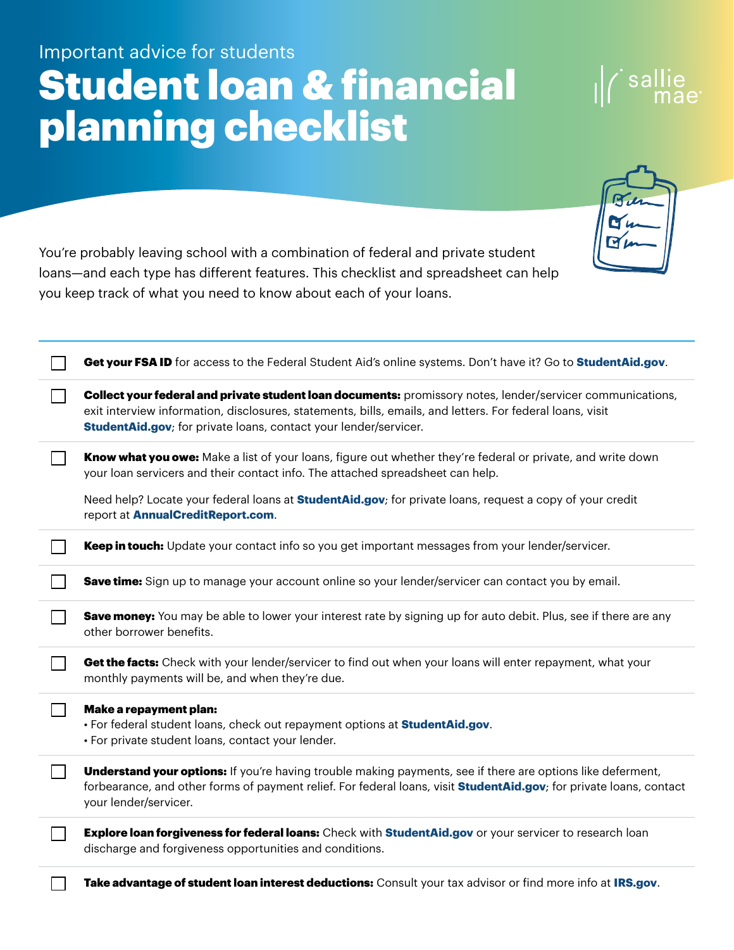## Important advice for students Student loan & financial planning checklist

You're probably leaving school with a combination of federal and private student loans—and each type has different features. This checklist and spreadsheet can help you keep track of what you need to know about each of your loans.

|                | Get your FSA ID for access to the Federal Student Aid's online systems. Don't have it? Go to StudentAid.gov.                                                                                                                                                                                        |
|----------------|-----------------------------------------------------------------------------------------------------------------------------------------------------------------------------------------------------------------------------------------------------------------------------------------------------|
|                | Collect your federal and private student loan documents: promissory notes, lender/servicer communications,<br>exit interview information, disclosures, statements, bills, emails, and letters. For federal loans, visit<br><b>StudentAid.gov</b> ; for private loans, contact your lender/servicer. |
|                | Know what you owe: Make a list of your loans, figure out whether they're federal or private, and write down<br>your loan servicers and their contact info. The attached spreadsheet can help.                                                                                                       |
|                | Need help? Locate your federal loans at <b>StudentAid.gov</b> ; for private loans, request a copy of your credit<br>report at AnnualCreditReport.com.                                                                                                                                               |
|                | Keep in touch: Update your contact info so you get important messages from your lender/servicer.                                                                                                                                                                                                    |
|                | Save time: Sign up to manage your account online so your lender/servicer can contact you by email.                                                                                                                                                                                                  |
|                | Save money: You may be able to lower your interest rate by signing up for auto debit. Plus, see if there are any<br>other borrower benefits.                                                                                                                                                        |
|                | Get the facts: Check with your lender/servicer to find out when your loans will enter repayment, what your<br>monthly payments will be, and when they're due.                                                                                                                                       |
| $\blacksquare$ | Make a repayment plan:<br>. For federal student loans, check out repayment options at <b>StudentAid.gov</b> .<br>· For private student loans, contact your lender.                                                                                                                                  |
| $\mathsf{L}$   | <b>Understand your options:</b> If you're having trouble making payments, see if there are options like deferment,<br>forbearance, and other forms of payment relief. For federal loans, visit <b>StudentAid.gov</b> ; for private loans, contact<br>your lender/servicer.                          |
|                | Explore loan forgiveness for federal loans: Check with StudentAid.gov or your servicer to research loan<br>discharge and forgiveness opportunities and conditions.                                                                                                                                  |
|                | Take advantage of student loan interest deductions: Consult your tax advisor or find more info at IRS.gov.                                                                                                                                                                                          |

| ru<br>æ                          |  |
|----------------------------------|--|
| $\alpha$<br>$\blacktriangledown$ |  |
|                                  |  |